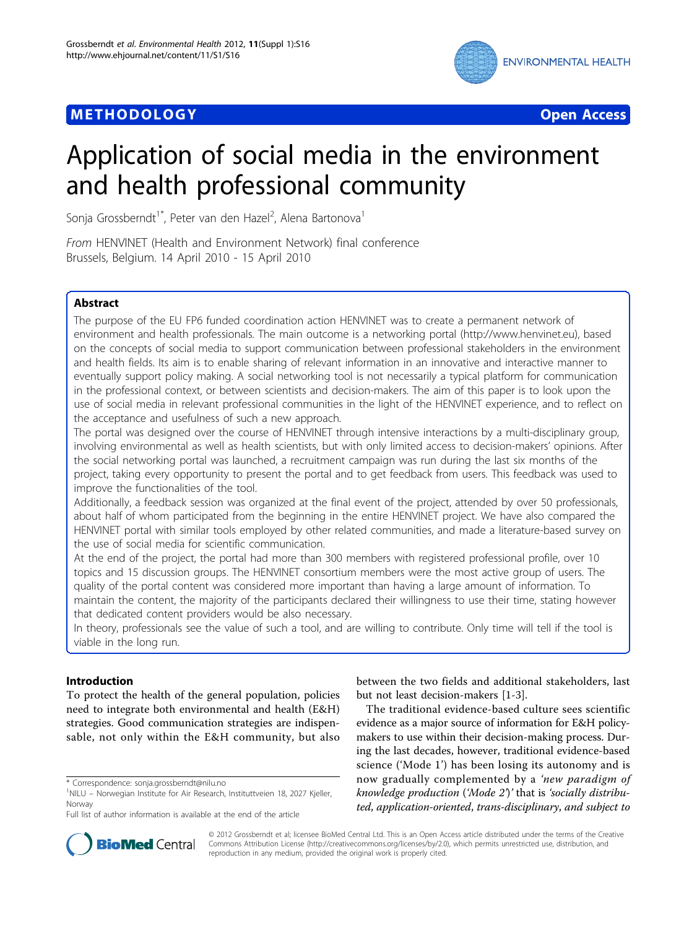## **METHODOLOGY CONSUMING ACCESS**





# Application of social media in the environment and health professional community

Sonja Grossberndt<sup>1\*</sup>, Peter van den Hazel<sup>2</sup>, Alena Bartonova<sup>1</sup>

From HENVINET (Health and Environment Network) final conference Brussels, Belgium. 14 April 2010 - 15 April 2010

## Abstract

The purpose of the EU FP6 funded coordination action HENVINET was to create a permanent network of environment and health professionals. The main outcome is a networking portal [\(http://www.henvinet.eu](http://www.henvinet.eu)), based on the concepts of social media to support communication between professional stakeholders in the environment and health fields. Its aim is to enable sharing of relevant information in an innovative and interactive manner to eventually support policy making. A social networking tool is not necessarily a typical platform for communication in the professional context, or between scientists and decision-makers. The aim of this paper is to look upon the use of social media in relevant professional communities in the light of the HENVINET experience, and to reflect on the acceptance and usefulness of such a new approach.

The portal was designed over the course of HENVINET through intensive interactions by a multi-disciplinary group, involving environmental as well as health scientists, but with only limited access to decision-makers' opinions. After the social networking portal was launched, a recruitment campaign was run during the last six months of the project, taking every opportunity to present the portal and to get feedback from users. This feedback was used to improve the functionalities of the tool.

Additionally, a feedback session was organized at the final event of the project, attended by over 50 professionals, about half of whom participated from the beginning in the entire HENVINET project. We have also compared the HENVINET portal with similar tools employed by other related communities, and made a literature-based survey on the use of social media for scientific communication.

At the end of the project, the portal had more than 300 members with registered professional profile, over 10 topics and 15 discussion groups. The HENVINET consortium members were the most active group of users. The quality of the portal content was considered more important than having a large amount of information. To maintain the content, the majority of the participants declared their willingness to use their time, stating however that dedicated content providers would be also necessary.

In theory, professionals see the value of such a tool, and are willing to contribute. Only time will tell if the tool is viable in the long run.

## Introduction

To protect the health of the general population, policies need to integrate both environmental and health (E&H) strategies. Good communication strategies are indispensable, not only within the E&H community, but also between the two fields and additional stakeholders, last but not least decision-makers [\[1](#page-11-0)-[3\]](#page-11-0).

The traditional evidence-based culture sees scientific evidence as a major source of information for E&H policymakers to use within their decision-making process. During the last decades, however, traditional evidence-based science ('Mode 1') has been losing its autonomy and is now gradually complemented by a 'new paradigm of knowledge production ('Mode 2')' that is 'socially distributed, application-oriented, trans-disciplinary, and subject to



© 2012 Grossberndt et al; licensee BioMed Central Ltd. This is an Open Access article distributed under the terms of the Creative Commons Attribution License [\(http://creativecommons.org/licenses/by/2.0](http://creativecommons.org/licenses/by/2.0)), which permits unrestricted use, distribution, and reproduction in any medium, provided the original work is properly cited.

<sup>\*</sup> Correspondence: [sonja.grossberndt@nilu.no](mailto:sonja.grossberndt@nilu.no)

<sup>&</sup>lt;sup>1</sup>NILU – Norwegian Institute for Air Research, Instituttveien 18, 2027 Kjeller, Norway

Full list of author information is available at the end of the article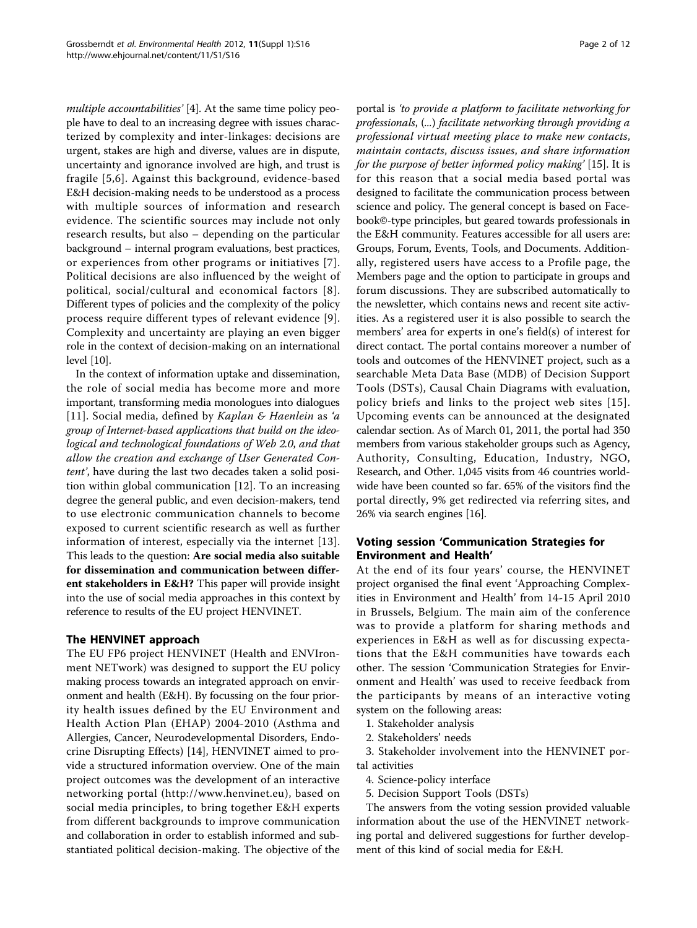multiple accountabilities' [\[4\]](#page-11-0). At the same time policy people have to deal to an increasing degree with issues characterized by complexity and inter-linkages: decisions are urgent, stakes are high and diverse, values are in dispute, uncertainty and ignorance involved are high, and trust is fragile [[5,6](#page-11-0)]. Against this background, evidence-based E&H decision-making needs to be understood as a process with multiple sources of information and research evidence. The scientific sources may include not only research results, but also – depending on the particular background – internal program evaluations, best practices, or experiences from other programs or initiatives [[7\]](#page-11-0). Political decisions are also influenced by the weight of political, social/cultural and economical factors [[8\]](#page-11-0). Different types of policies and the complexity of the policy process require different types of relevant evidence [[9](#page-11-0)]. Complexity and uncertainty are playing an even bigger role in the context of decision-making on an international level [\[10\]](#page-11-0).

In the context of information uptake and dissemination, the role of social media has become more and more important, transforming media monologues into dialogues [[11](#page-11-0)]. Social media, defined by Kaplan & Haenlein as 'a group of Internet-based applications that build on the ideological and technological foundations of Web 2.0, and that allow the creation and exchange of User Generated Content', have during the last two decades taken a solid position within global communication [\[12](#page-11-0)]. To an increasing degree the general public, and even decision-makers, tend to use electronic communication channels to become exposed to current scientific research as well as further information of interest, especially via the internet [[13](#page-11-0)]. This leads to the question: Are social media also suitable for dissemination and communication between different stakeholders in E&H? This paper will provide insight into the use of social media approaches in this context by reference to results of the EU project HENVINET.

## The HENVINET approach

The EU FP6 project HENVINET (Health and ENVIronment NETwork) was designed to support the EU policy making process towards an integrated approach on environment and health (E&H). By focussing on the four priority health issues defined by the EU Environment and Health Action Plan (EHAP) 2004-2010 (Asthma and Allergies, Cancer, Neurodevelopmental Disorders, Endocrine Disrupting Effects) [[14\]](#page-11-0), HENVINET aimed to provide a structured information overview. One of the main project outcomes was the development of an interactive networking portal (<http://www.henvinet.eu>), based on social media principles, to bring together E&H experts from different backgrounds to improve communication and collaboration in order to establish informed and substantiated political decision-making. The objective of the portal is 'to provide a platform to facilitate networking for professionals, (...) facilitate networking through providing a professional virtual meeting place to make new contacts, maintain contacts, discuss issues, and share information for the purpose of better informed policy making' [\[15](#page-11-0)]. It is for this reason that a social media based portal was designed to facilitate the communication process between science and policy. The general concept is based on Facebook©-type principles, but geared towards professionals in the E&H community. Features accessible for all users are: Groups, Forum, Events, Tools, and Documents. Additionally, registered users have access to a Profile page, the Members page and the option to participate in groups and forum discussions. They are subscribed automatically to the newsletter, which contains news and recent site activities. As a registered user it is also possible to search the members' area for experts in one's field(s) of interest for direct contact. The portal contains moreover a number of tools and outcomes of the HENVINET project, such as a searchable Meta Data Base (MDB) of Decision Support Tools (DSTs), Causal Chain Diagrams with evaluation, policy briefs and links to the project web sites [[15\]](#page-11-0). Upcoming events can be announced at the designated calendar section. As of March 01, 2011, the portal had 350 members from various stakeholder groups such as Agency, Authority, Consulting, Education, Industry, NGO, Research, and Other. 1,045 visits from 46 countries worldwide have been counted so far. 65% of the visitors find the portal directly, 9% get redirected via referring sites, and 26% via search engines [\[16\]](#page-11-0).

## Voting session 'Communication Strategies for Environment and Health'

At the end of its four years' course, the HENVINET project organised the final event 'Approaching Complexities in Environment and Health' from 14-15 April 2010 in Brussels, Belgium. The main aim of the conference was to provide a platform for sharing methods and experiences in E&H as well as for discussing expectations that the E&H communities have towards each other. The session 'Communication Strategies for Environment and Health' was used to receive feedback from the participants by means of an interactive voting system on the following areas:

- 1. Stakeholder analysis
- 2. Stakeholders' needs

3. Stakeholder involvement into the HENVINET portal activities

- 4. Science-policy interface
- 5. Decision Support Tools (DSTs)

The answers from the voting session provided valuable information about the use of the HENVINET networking portal and delivered suggestions for further development of this kind of social media for E&H.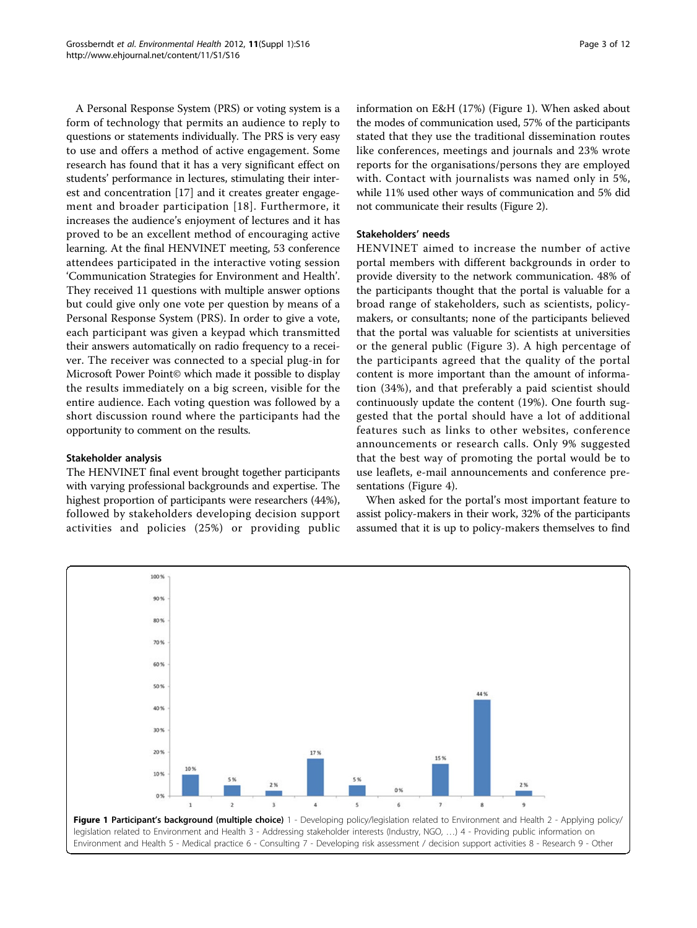A Personal Response System (PRS) or voting system is a form of technology that permits an audience to reply to questions or statements individually. The PRS is very easy to use and offers a method of active engagement. Some research has found that it has a very significant effect on students' performance in lectures, stimulating their interest and concentration [[17\]](#page-11-0) and it creates greater engagement and broader participation [[18](#page-11-0)]. Furthermore, it increases the audience's enjoyment of lectures and it has proved to be an excellent method of encouraging active learning. At the final HENVINET meeting, 53 conference attendees participated in the interactive voting session 'Communication Strategies for Environment and Health'. They received 11 questions with multiple answer options but could give only one vote per question by means of a Personal Response System (PRS). In order to give a vote, each participant was given a keypad which transmitted their answers automatically on radio frequency to a receiver. The receiver was connected to a special plug-in for Microsoft Power Point© which made it possible to display the results immediately on a big screen, visible for the entire audience. Each voting question was followed by a short discussion round where the participants had the opportunity to comment on the results.

## Stakeholder analysis

The HENVINET final event brought together participants with varying professional backgrounds and expertise. The highest proportion of participants were researchers (44%), followed by stakeholders developing decision support activities and policies (25%) or providing public information on E&H (17%) (Figure 1). When asked about the modes of communication used, 57% of the participants stated that they use the traditional dissemination routes like conferences, meetings and journals and 23% wrote reports for the organisations/persons they are employed with. Contact with journalists was named only in 5%, while 11% used other ways of communication and 5% did not communicate their results (Figure [2](#page-3-0)).

## Stakeholders' needs

HENVINET aimed to increase the number of active portal members with different backgrounds in order to provide diversity to the network communication. 48% of the participants thought that the portal is valuable for a broad range of stakeholders, such as scientists, policymakers, or consultants; none of the participants believed that the portal was valuable for scientists at universities or the general public (Figure [3](#page-3-0)). A high percentage of the participants agreed that the quality of the portal content is more important than the amount of information (34%), and that preferably a paid scientist should continuously update the content (19%). One fourth suggested that the portal should have a lot of additional features such as links to other websites, conference announcements or research calls. Only 9% suggested that the best way of promoting the portal would be to use leaflets, e-mail announcements and conference presentations (Figure [4\)](#page-4-0).

When asked for the portal's most important feature to assist policy-makers in their work, 32% of the participants assumed that it is up to policy-makers themselves to find

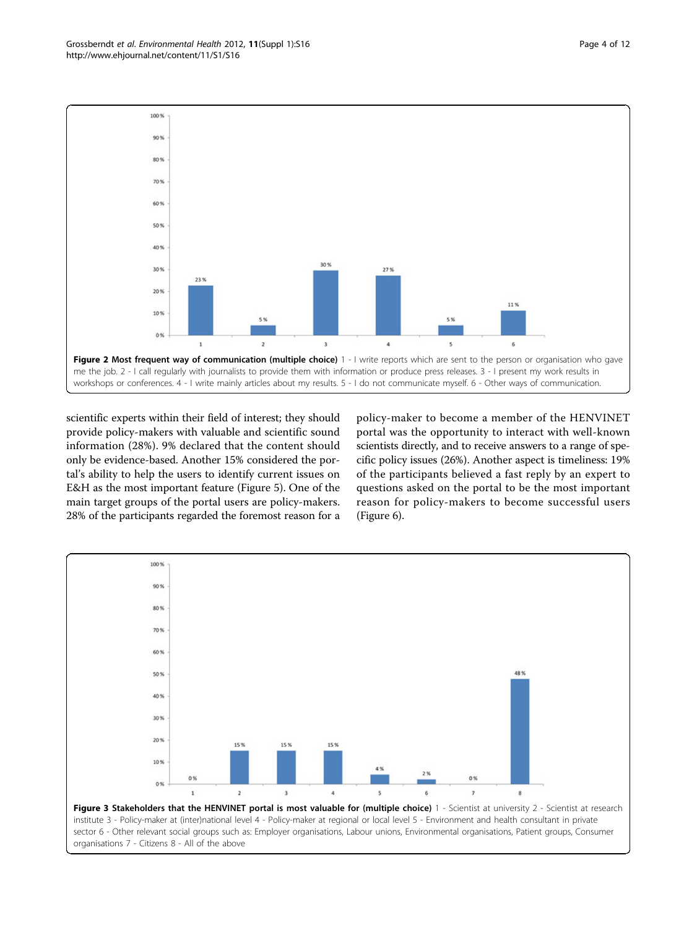scientific experts within their field of interest; they should provide policy-makers with valuable and scientific sound information (28%). 9% declared that the content should only be evidence-based. Another 15% considered the portal's ability to help the users to identify current issues on E&H as the most important feature (Figure [5\)](#page-4-0). One of the main target groups of the portal users are policy-makers. 28% of the participants regarded the foremost reason for a

100%

policy-maker to become a member of the HENVINET portal was the opportunity to interact with well-known scientists directly, and to receive answers to a range of specific policy issues (26%). Another aspect is timeliness: 19% of the participants believed a fast reply by an expert to questions asked on the portal to be the most important reason for policy-makers to become successful users (Figure [6](#page-5-0)).



<span id="page-3-0"></span>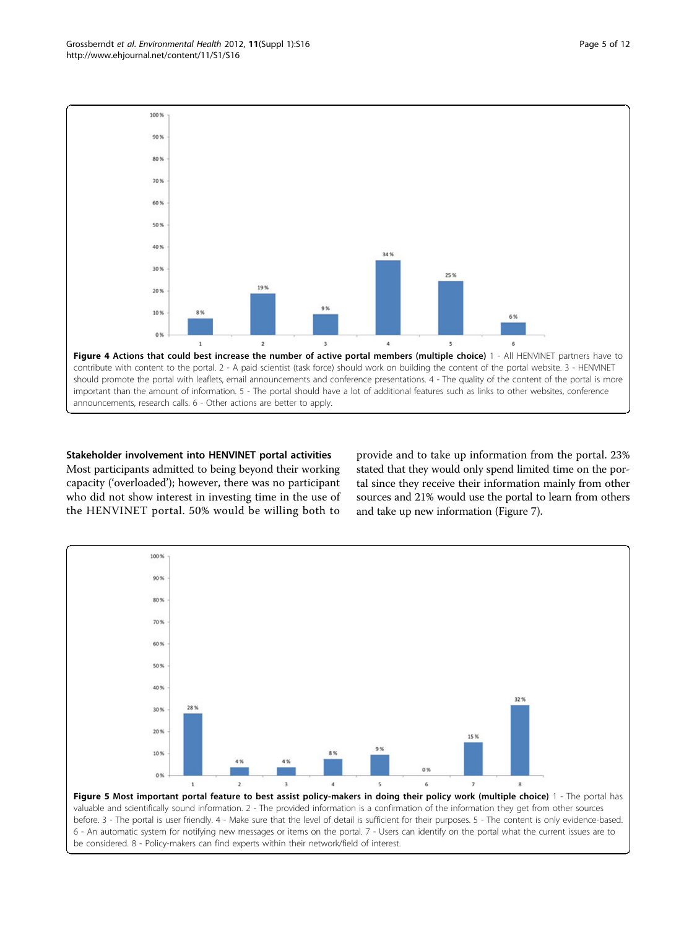provide and to take up information from the portal. 23% stated that they would only spend limited time on the portal since they receive their information mainly from other sources and 21% would use the portal to learn from others

6%

 $6$ 



19%

 $\overline{2}$ 

Figure 4 Actions that could best increase the number of active portal members (multiple choice) 1 - All HENVINET partners have to contribute with content to the portal. 2 - A paid scientist (task force) should work on building the content of the portal website. 3 - HENVINET

9%

 $\overline{3}$ 

34 %

 $\ddot{\phantom{a}}$ 

25%

 $\overline{\phantom{a}}$ 



<span id="page-4-0"></span>100%  $90%$ 80% 70% 60% 50% 40%

30%

 $20%$ 

10%

0%

 $\mathbf 1$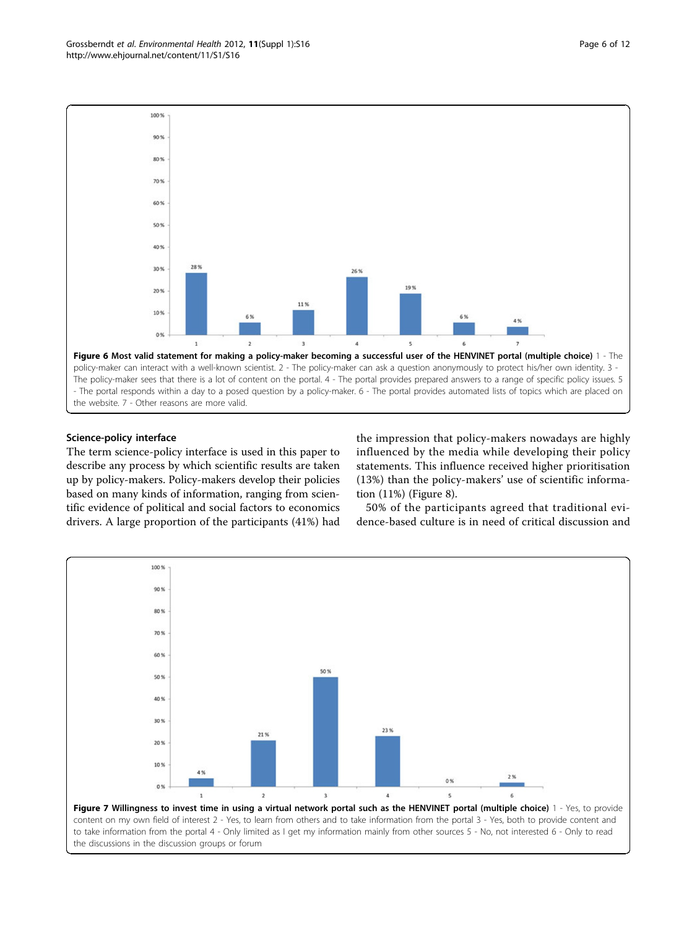<span id="page-5-0"></span>

## Science-policy interface

The term science-policy interface is used in this paper to describe any process by which scientific results are taken up by policy-makers. Policy-makers develop their policies based on many kinds of information, ranging from scientific evidence of political and social factors to economics drivers. A large proportion of the participants (41%) had

the impression that policy-makers nowadays are highly influenced by the media while developing their policy statements. This influence received higher prioritisation (13%) than the policy-makers' use of scientific information (11%) (Figure [8\)](#page-6-0).

50% of the participants agreed that traditional evidence-based culture is in need of critical discussion and

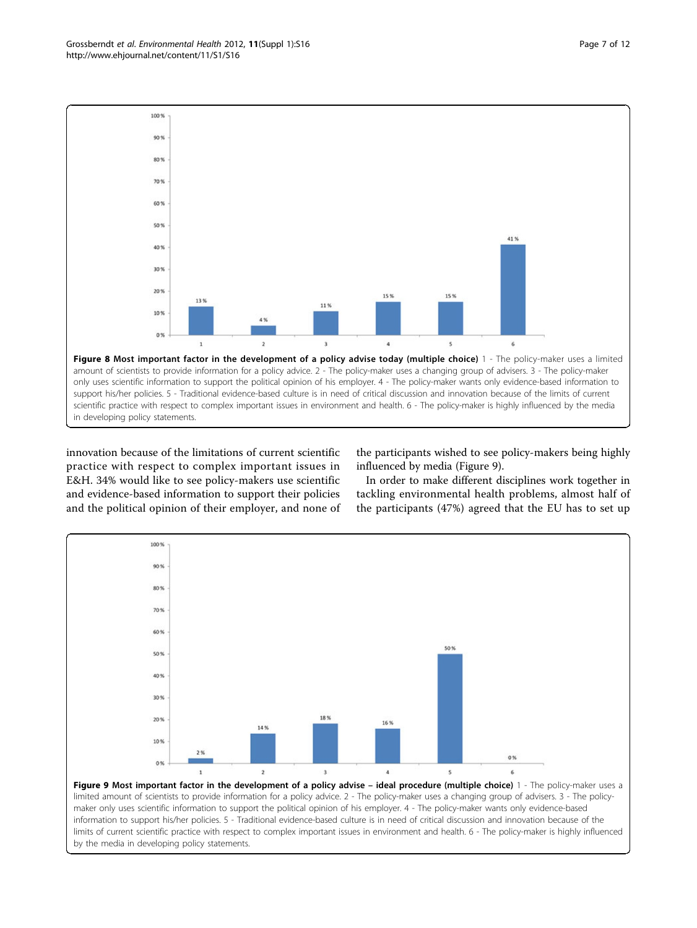innovation because of the limitations of current scientific practice with respect to complex important issues in E&H. 34% would like to see policy-makers use scientific and evidence-based information to support their policies and the political opinion of their employer, and none of

the participants wished to see policy-makers being highly influenced by media (Figure 9).

In order to make different disciplines work together in tackling environmental health problems, almost half of the participants (47%) agreed that the EU has to set up



100%

<span id="page-6-0"></span>

in developing policy statements.

100% 90% 80% Page 7 of 12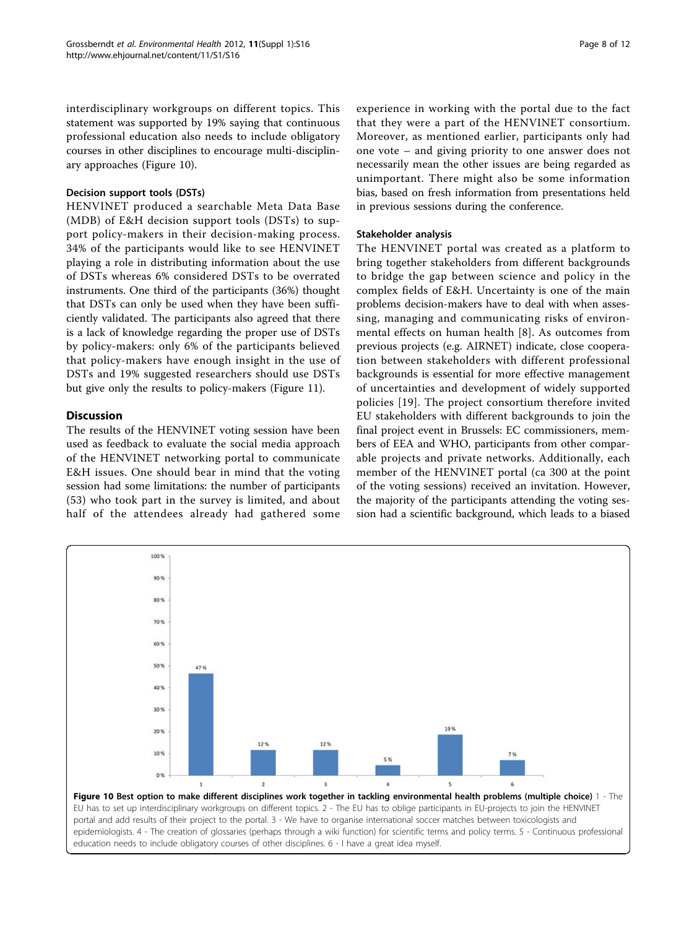<span id="page-7-0"></span>interdisciplinary workgroups on different topics. This statement was supported by 19% saying that continuous professional education also needs to include obligatory courses in other disciplines to encourage multi-disciplinary approaches (Figure 10).

## Decision support tools (DSTs)

HENVINET produced a searchable Meta Data Base (MDB) of E&H decision support tools (DSTs) to support policy-makers in their decision-making process. 34% of the participants would like to see HENVINET playing a role in distributing information about the use of DSTs whereas 6% considered DSTs to be overrated instruments. One third of the participants (36%) thought that DSTs can only be used when they have been sufficiently validated. The participants also agreed that there is a lack of knowledge regarding the proper use of DSTs by policy-makers: only 6% of the participants believed that policy-makers have enough insight in the use of DSTs and 19% suggested researchers should use DSTs but give only the results to policy-makers (Figure [11\)](#page-8-0).

## Discussion

The results of the HENVINET voting session have been used as feedback to evaluate the social media approach of the HENVINET networking portal to communicate E&H issues. One should bear in mind that the voting session had some limitations: the number of participants (53) who took part in the survey is limited, and about half of the attendees already had gathered some

experience in working with the portal due to the fact that they were a part of the HENVINET consortium. Moreover, as mentioned earlier, participants only had one vote – and giving priority to one answer does not necessarily mean the other issues are being regarded as unimportant. There might also be some information bias, based on fresh information from presentations held in previous sessions during the conference.

## Stakeholder analysis

The HENVINET portal was created as a platform to bring together stakeholders from different backgrounds to bridge the gap between science and policy in the complex fields of E&H. Uncertainty is one of the main problems decision-makers have to deal with when assessing, managing and communicating risks of environmental effects on human health [\[8](#page-11-0)]. As outcomes from previous projects (e.g. AIRNET) indicate, close cooperation between stakeholders with different professional backgrounds is essential for more effective management of uncertainties and development of widely supported policies [\[19\]](#page-11-0). The project consortium therefore invited EU stakeholders with different backgrounds to join the final project event in Brussels: EC commissioners, members of EEA and WHO, participants from other comparable projects and private networks. Additionally, each member of the HENVINET portal (ca 300 at the point of the voting sessions) received an invitation. However, the majority of the participants attending the voting session had a scientific background, which leads to a biased

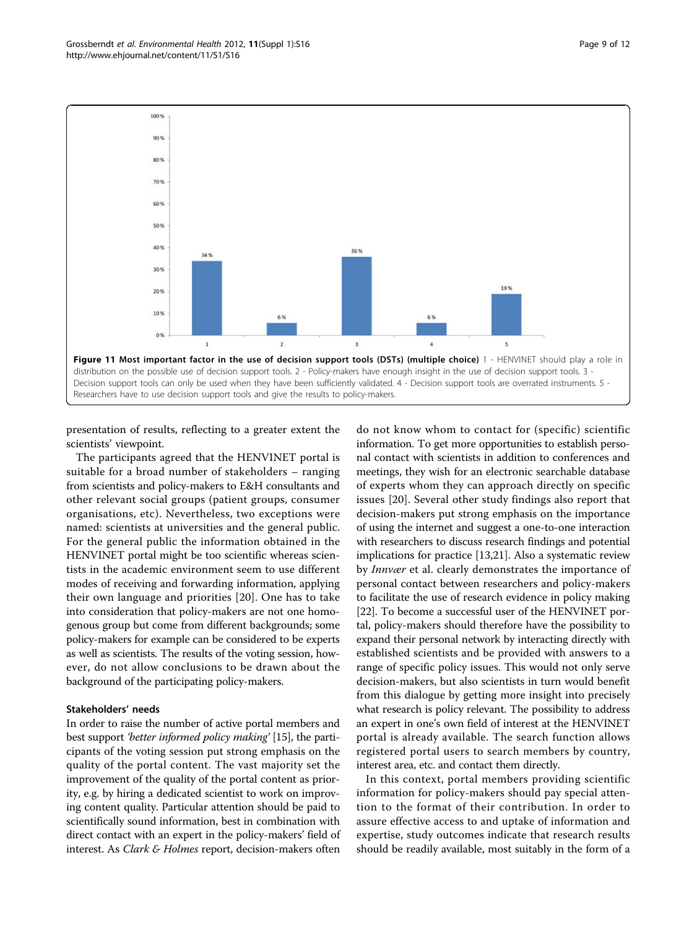<span id="page-8-0"></span>

presentation of results, reflecting to a greater extent the scientists' viewpoint.

The participants agreed that the HENVINET portal is suitable for a broad number of stakeholders – ranging from scientists and policy-makers to E&H consultants and other relevant social groups (patient groups, consumer organisations, etc). Nevertheless, two exceptions were named: scientists at universities and the general public. For the general public the information obtained in the HENVINET portal might be too scientific whereas scientists in the academic environment seem to use different modes of receiving and forwarding information, applying their own language and priorities [\[20\]](#page-11-0). One has to take into consideration that policy-makers are not one homogenous group but come from different backgrounds; some policy-makers for example can be considered to be experts as well as scientists. The results of the voting session, however, do not allow conclusions to be drawn about the background of the participating policy-makers.

## Stakeholders' needs

In order to raise the number of active portal members and best support 'better informed policy making' [\[15\]](#page-11-0), the participants of the voting session put strong emphasis on the quality of the portal content. The vast majority set the improvement of the quality of the portal content as priority, e.g. by hiring a dedicated scientist to work on improving content quality. Particular attention should be paid to scientifically sound information, best in combination with direct contact with an expert in the policy-makers' field of interest. As Clark & Holmes report, decision-makers often do not know whom to contact for (specific) scientific information. To get more opportunities to establish personal contact with scientists in addition to conferences and meetings, they wish for an electronic searchable database of experts whom they can approach directly on specific issues [\[20](#page-11-0)]. Several other study findings also report that decision-makers put strong emphasis on the importance of using the internet and suggest a one-to-one interaction with researchers to discuss research findings and potential implications for practice [\[13,21](#page-11-0)]. Also a systematic review by *Innvær* et al. clearly demonstrates the importance of personal contact between researchers and policy-makers to facilitate the use of research evidence in policy making [[22](#page-11-0)]. To become a successful user of the HENVINET portal, policy-makers should therefore have the possibility to expand their personal network by interacting directly with established scientists and be provided with answers to a range of specific policy issues. This would not only serve decision-makers, but also scientists in turn would benefit from this dialogue by getting more insight into precisely what research is policy relevant. The possibility to address an expert in one's own field of interest at the HENVINET portal is already available. The search function allows registered portal users to search members by country, interest area, etc. and contact them directly.

In this context, portal members providing scientific information for policy-makers should pay special attention to the format of their contribution. In order to assure effective access to and uptake of information and expertise, study outcomes indicate that research results should be readily available, most suitably in the form of a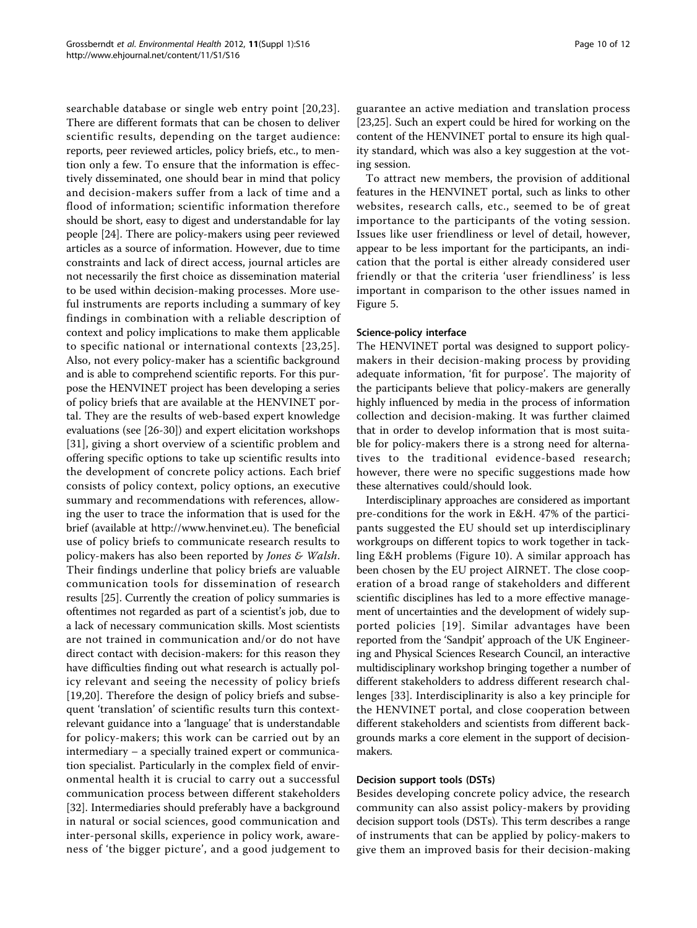searchable database or single web entry point [[20](#page-11-0),[23\]](#page-11-0). There are different formats that can be chosen to deliver scientific results, depending on the target audience: reports, peer reviewed articles, policy briefs, etc., to mention only a few. To ensure that the information is effectively disseminated, one should bear in mind that policy and decision-makers suffer from a lack of time and a flood of information; scientific information therefore should be short, easy to digest and understandable for lay people [[24](#page-11-0)]. There are policy-makers using peer reviewed articles as a source of information. However, due to time constraints and lack of direct access, journal articles are not necessarily the first choice as dissemination material to be used within decision-making processes. More useful instruments are reports including a summary of key findings in combination with a reliable description of context and policy implications to make them applicable to specific national or international contexts [[23,25\]](#page-11-0). Also, not every policy-maker has a scientific background and is able to comprehend scientific reports. For this purpose the HENVINET project has been developing a series of policy briefs that are available at the HENVINET portal. They are the results of web-based expert knowledge evaluations (see [\[26](#page-11-0)-[30](#page-11-0)]) and expert elicitation workshops [[31](#page-11-0)], giving a short overview of a scientific problem and offering specific options to take up scientific results into the development of concrete policy actions. Each brief consists of policy context, policy options, an executive summary and recommendations with references, allowing the user to trace the information that is used for the brief (available at [http://www.henvinet.eu\)](http://www.henvinet.eu). The beneficial use of policy briefs to communicate research results to policy-makers has also been reported by *Jones & Walsh*. Their findings underline that policy briefs are valuable communication tools for dissemination of research results [\[25\]](#page-11-0). Currently the creation of policy summaries is oftentimes not regarded as part of a scientist's job, due to a lack of necessary communication skills. Most scientists are not trained in communication and/or do not have direct contact with decision-makers: for this reason they have difficulties finding out what research is actually policy relevant and seeing the necessity of policy briefs [[19,20](#page-11-0)]. Therefore the design of policy briefs and subsequent 'translation' of scientific results turn this contextrelevant guidance into a 'language' that is understandable for policy-makers; this work can be carried out by an intermediary – a specially trained expert or communication specialist. Particularly in the complex field of environmental health it is crucial to carry out a successful communication process between different stakeholders [[32\]](#page-11-0). Intermediaries should preferably have a background in natural or social sciences, good communication and inter-personal skills, experience in policy work, awareness of 'the bigger picture', and a good judgement to

guarantee an active mediation and translation process [[23,25\]](#page-11-0). Such an expert could be hired for working on the content of the HENVINET portal to ensure its high quality standard, which was also a key suggestion at the voting session.

To attract new members, the provision of additional features in the HENVINET portal, such as links to other websites, research calls, etc., seemed to be of great importance to the participants of the voting session. Issues like user friendliness or level of detail, however, appear to be less important for the participants, an indication that the portal is either already considered user friendly or that the criteria 'user friendliness' is less important in comparison to the other issues named in Figure [5](#page-4-0).

#### Science-policy interface

The HENVINET portal was designed to support policymakers in their decision-making process by providing adequate information, 'fit for purpose'. The majority of the participants believe that policy-makers are generally highly influenced by media in the process of information collection and decision-making. It was further claimed that in order to develop information that is most suitable for policy-makers there is a strong need for alternatives to the traditional evidence-based research; however, there were no specific suggestions made how these alternatives could/should look.

Interdisciplinary approaches are considered as important pre-conditions for the work in E&H. 47% of the participants suggested the EU should set up interdisciplinary workgroups on different topics to work together in tackling E&H problems (Figure [10](#page-7-0)). A similar approach has been chosen by the EU project AIRNET. The close cooperation of a broad range of stakeholders and different scientific disciplines has led to a more effective management of uncertainties and the development of widely supported policies [[19\]](#page-11-0). Similar advantages have been reported from the 'Sandpit' approach of the UK Engineering and Physical Sciences Research Council, an interactive multidisciplinary workshop bringing together a number of different stakeholders to address different research challenges [[33\]](#page-11-0). Interdisciplinarity is also a key principle for the HENVINET portal, and close cooperation between different stakeholders and scientists from different backgrounds marks a core element in the support of decisionmakers.

#### Decision support tools (DSTs)

Besides developing concrete policy advice, the research community can also assist policy-makers by providing decision support tools (DSTs). This term describes a range of instruments that can be applied by policy-makers to give them an improved basis for their decision-making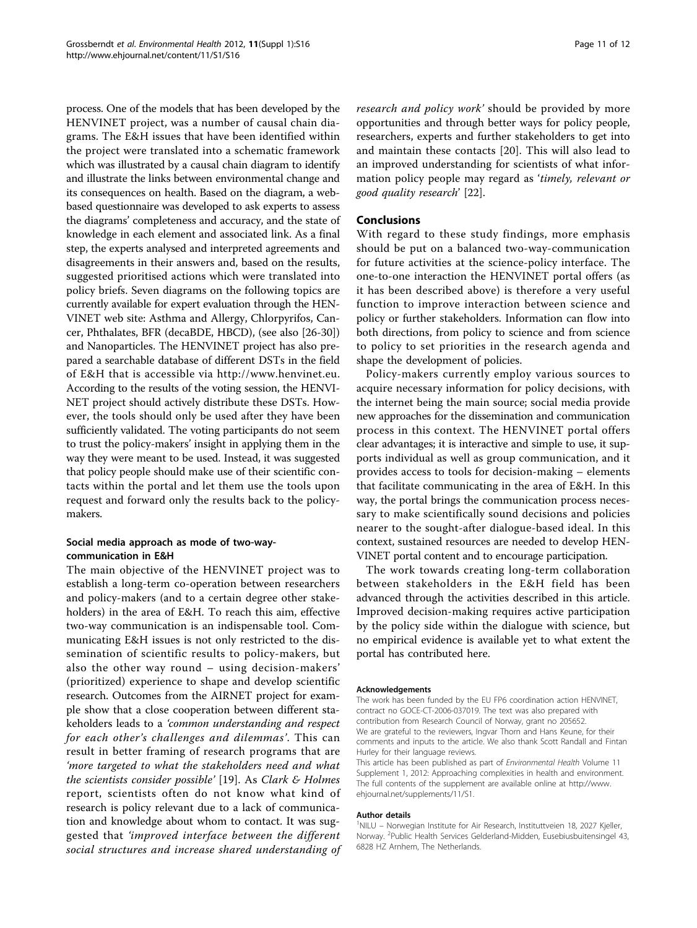process. One of the models that has been developed by the HENVINET project, was a number of causal chain diagrams. The E&H issues that have been identified within the project were translated into a schematic framework which was illustrated by a causal chain diagram to identify and illustrate the links between environmental change and its consequences on health. Based on the diagram, a webbased questionnaire was developed to ask experts to assess the diagrams' completeness and accuracy, and the state of knowledge in each element and associated link. As a final step, the experts analysed and interpreted agreements and disagreements in their answers and, based on the results, suggested prioritised actions which were translated into policy briefs. Seven diagrams on the following topics are currently available for expert evaluation through the HEN-VINET web site: Asthma and Allergy, Chlorpyrifos, Cancer, Phthalates, BFR (decaBDE, HBCD), (see also [\[26-30](#page-11-0)]) and Nanoparticles. The HENVINET project has also prepared a searchable database of different DSTs in the field of E&H that is accessible via<http://www.henvinet.eu>. According to the results of the voting session, the HENVI-NET project should actively distribute these DSTs. However, the tools should only be used after they have been sufficiently validated. The voting participants do not seem to trust the policy-makers' insight in applying them in the way they were meant to be used. Instead, it was suggested that policy people should make use of their scientific contacts within the portal and let them use the tools upon request and forward only the results back to the policymakers.

## Social media approach as mode of two-waycommunication in E&H

The main objective of the HENVINET project was to establish a long-term co-operation between researchers and policy-makers (and to a certain degree other stakeholders) in the area of E&H. To reach this aim, effective two-way communication is an indispensable tool. Communicating E&H issues is not only restricted to the dissemination of scientific results to policy-makers, but also the other way round – using decision-makers' (prioritized) experience to shape and develop scientific research. Outcomes from the AIRNET project for example show that a close cooperation between different stakeholders leads to a 'common understanding and respect for each other's challenges and dilemmas'. This can result in better framing of research programs that are 'more targeted to what the stakeholders need and what the scientists consider possible' [\[19](#page-11-0)]. As Clark  $\mathcal E$  Holmes report, scientists often do not know what kind of research is policy relevant due to a lack of communication and knowledge about whom to contact. It was suggested that 'improved interface between the different social structures and increase shared understanding of research and policy work' should be provided by more opportunities and through better ways for policy people, researchers, experts and further stakeholders to get into and maintain these contacts [\[20\]](#page-11-0). This will also lead to an improved understanding for scientists of what information policy people may regard as 'timely, relevant or good quality research' [[22](#page-11-0)].

## Conclusions

With regard to these study findings, more emphasis should be put on a balanced two-way-communication for future activities at the science-policy interface. The one-to-one interaction the HENVINET portal offers (as it has been described above) is therefore a very useful function to improve interaction between science and policy or further stakeholders. Information can flow into both directions, from policy to science and from science to policy to set priorities in the research agenda and shape the development of policies.

Policy-makers currently employ various sources to acquire necessary information for policy decisions, with the internet being the main source; social media provide new approaches for the dissemination and communication process in this context. The HENVINET portal offers clear advantages; it is interactive and simple to use, it supports individual as well as group communication, and it provides access to tools for decision-making – elements that facilitate communicating in the area of E&H. In this way, the portal brings the communication process necessary to make scientifically sound decisions and policies nearer to the sought-after dialogue-based ideal. In this context, sustained resources are needed to develop HEN-VINET portal content and to encourage participation.

The work towards creating long-term collaboration between stakeholders in the E&H field has been advanced through the activities described in this article. Improved decision-making requires active participation by the policy side within the dialogue with science, but no empirical evidence is available yet to what extent the portal has contributed here.

#### Acknowledgements

The work has been funded by the EU FP6 coordination action HENVINET, contract no GOCE-CT-2006-037019. The text was also prepared with contribution from Research Council of Norway, grant no 205652. We are grateful to the reviewers, Ingvar Thorn and Hans Keune, for their comments and inputs to the article. We also thank Scott Randall and Fintan Hurley for their language reviews.

This article has been published as part of Environmental Health Volume 11 Supplement 1, 2012: Approaching complexities in health and environment. The full contents of the supplement are available online at [http://www.](http://www.ehjournal.net/supplements/11/S1) [ehjournal.net/supplements/11/S1](http://www.ehjournal.net/supplements/11/S1).

#### Author details

<sup>1</sup>NILU - Norwegian Institute for Air Research, Instituttveien 18, 2027 Kjeller, Norway. <sup>2</sup> Public Health Services Gelderland-Midden, Eusebiusbuitensingel 43, 6828 HZ Arnhem, The Netherlands.